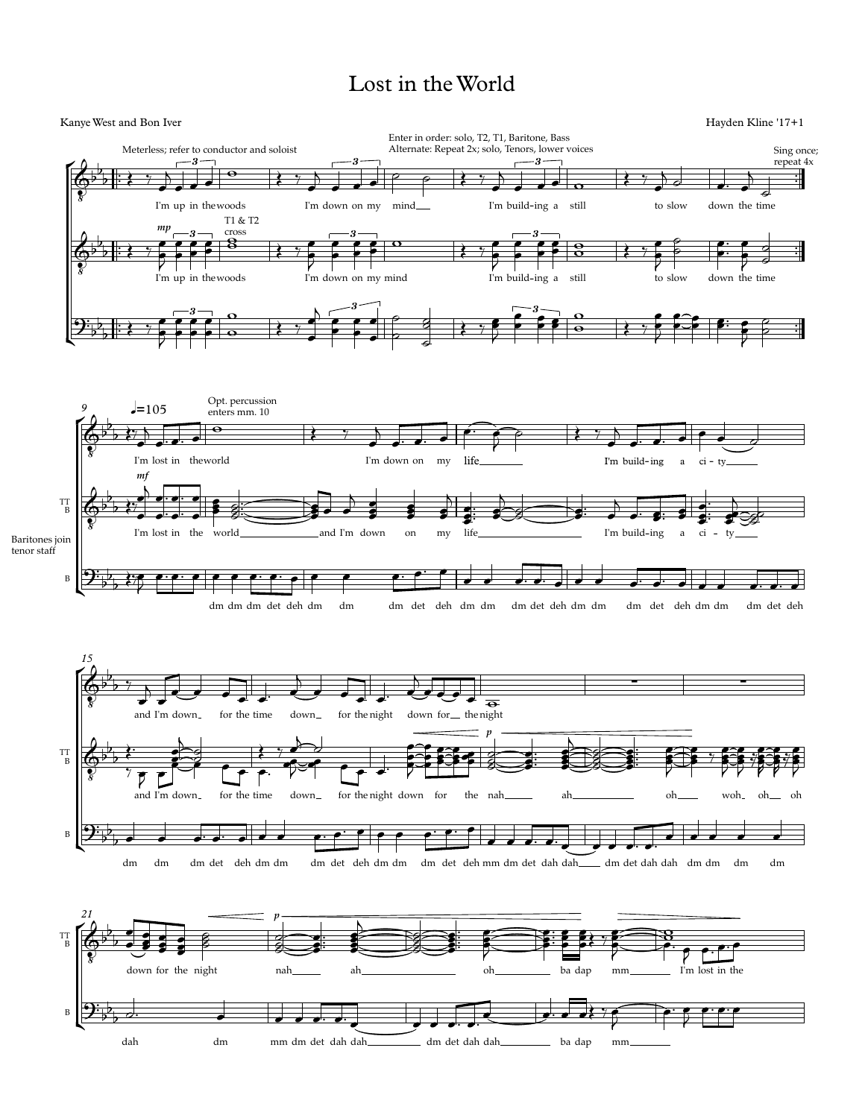## Lost in theWorld

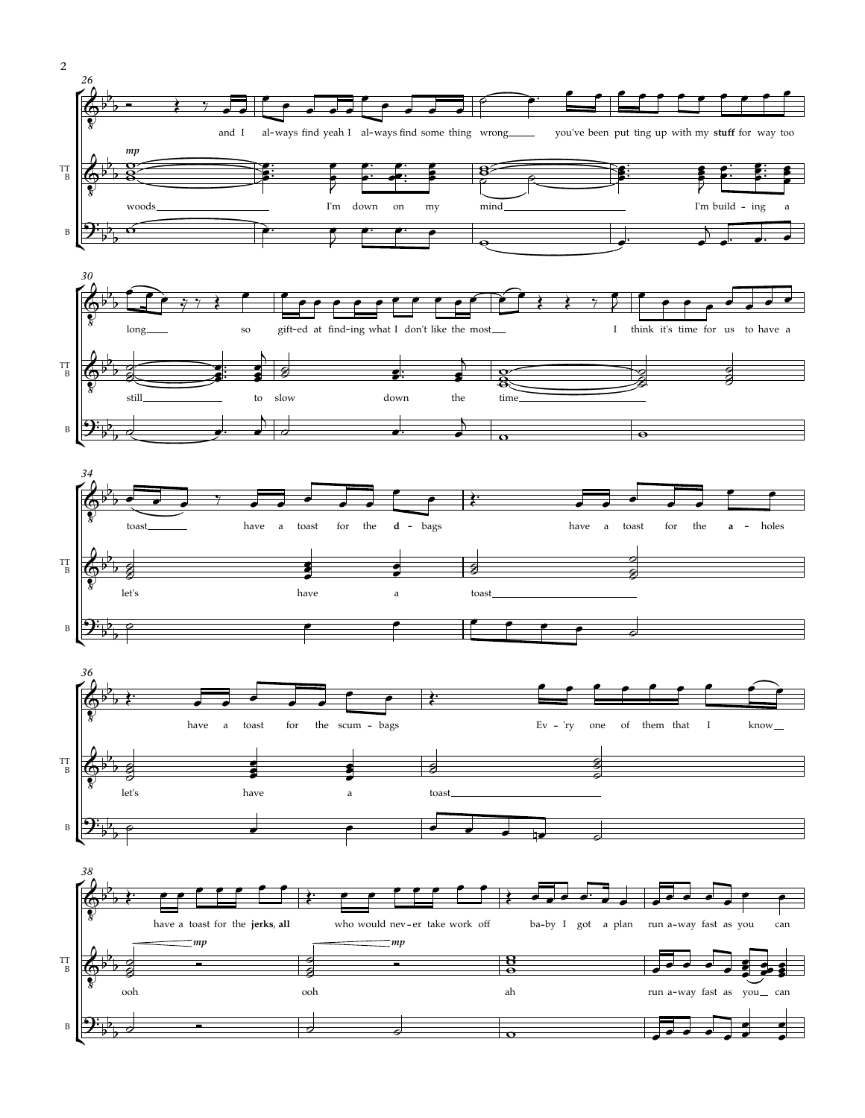